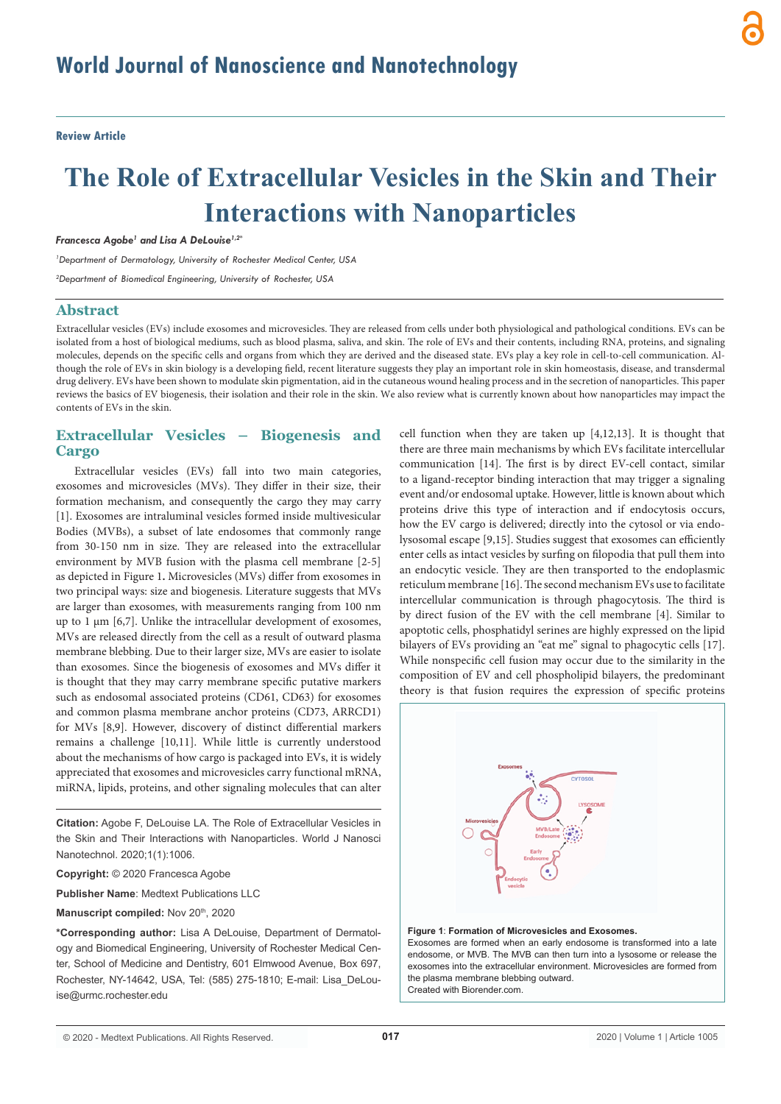**Review Article**

# **The Role of Extracellular Vesicles in the Skin and Their Interactions with Nanoparticles**

*Francesca Agobe1 and Lisa A DeLouise1,2\**

*1 Department of Dermatology, University of Rochester Medical Center, USA*

*2 Department of Biomedical Engineering, University of Rochester, USA*

### **Abstract**

Extracellular vesicles (EVs) include exosomes and microvesicles. They are released from cells under both physiological and pathological conditions. EVs can be isolated from a host of biological mediums, such as blood plasma, saliva, and skin. The role of EVs and their contents, including RNA, proteins, and signaling molecules, depends on the specific cells and organs from which they are derived and the diseased state. EVs play a key role in cell-to-cell communication. Although the role of EVs in skin biology is a developing field, recent literature suggests they play an important role in skin homeostasis, disease, and transdermal drug delivery. EVs have been shown to modulate skin pigmentation, aid in the cutaneous wound healing process and in the secretion of nanoparticles. This paper reviews the basics of EV biogenesis, their isolation and their role in the skin. We also review what is currently known about how nanoparticles may impact the contents of EVs in the skin.

## **Extracellular Vesicles – Biogenesis and Cargo**

Extracellular vesicles (EVs) fall into two main categories, exosomes and microvesicles (MVs). They differ in their size, their formation mechanism, and consequently the cargo they may carry [1]. Exosomes are intraluminal vesicles formed inside multivesicular Bodies (MVBs), a subset of late endosomes that commonly range from 30-150 nm in size. They are released into the extracellular environment by MVB fusion with the plasma cell membrane [2-5] as depicted in Figure 1**.** Microvesicles (MVs) differ from exosomes in two principal ways: size and biogenesis. Literature suggests that MVs are larger than exosomes, with measurements ranging from 100 nm up to 1  $\mu$ m [6,7]. Unlike the intracellular development of exosomes, MVs are released directly from the cell as a result of outward plasma membrane blebbing. Due to their larger size, MVs are easier to isolate than exosomes. Since the biogenesis of exosomes and MVs differ it is thought that they may carry membrane specific putative markers such as endosomal associated proteins (CD61, CD63) for exosomes and common plasma membrane anchor proteins (CD73, ARRCD1) for MVs [8,9]. However, discovery of distinct differential markers remains a challenge [10,11]. While little is currently understood about the mechanisms of how cargo is packaged into EVs, it is widely appreciated that exosomes and microvesicles carry functional mRNA, miRNA, lipids, proteins, and other signaling molecules that can alter

**Citation:** Agobe F, DeLouise LA. The Role of Extracellular Vesicles in the Skin and Their Interactions with Nanoparticles. World J Nanosci Nanotechnol. 2020;1(1):1006.

**Copyright:** © 2020 Francesca Agobe

**Publisher Name**: Medtext Publications LLC

**Manuscript compiled:** Nov 20<sup>th</sup>, 2020

**\*Corresponding author:** Lisa A DeLouise, Department of Dermatology and Biomedical Engineering, University of Rochester Medical Center, School of Medicine and Dentistry, 601 Elmwood Avenue, Box 697, Rochester, NY-14642, USA, Tel: (585) 275-1810; E-mail: Lisa\_DeLouise@urmc.rochester.edu

cell function when they are taken up [4,12,13]. It is thought that there are three main mechanisms by which EVs facilitate intercellular communication [14]. The first is by direct EV-cell contact, similar to a ligand-receptor binding interaction that may trigger a signaling event and/or endosomal uptake. However, little is known about which proteins drive this type of interaction and if endocytosis occurs, how the EV cargo is delivered; directly into the cytosol or via endolysosomal escape [9,15]. Studies suggest that exosomes can efficiently enter cells as intact vesicles by surfing on filopodia that pull them into an endocytic vesicle. They are then transported to the endoplasmic reticulum membrane [16]. The second mechanism EVs use to facilitate intercellular communication is through phagocytosis. The third is by direct fusion of the EV with the cell membrane [4]. Similar to apoptotic cells, phosphatidyl serines are highly expressed on the lipid bilayers of EVs providing an "eat me" signal to phagocytic cells [17]. While nonspecific cell fusion may occur due to the similarity in the composition of EV and cell phospholipid bilayers, the predominant theory is that fusion requires the expression of specific proteins



#### **Figure 1**: **Formation of Microvesicles and Exosomes.**

Exosomes are formed when an early endosome is transformed into a late endosome, or MVB. The MVB can then turn into a lysosome or release the exosomes into the extracellular environment. Microvesicles are formed from the plasma membrane blebbing outward. Created with Biorender.com.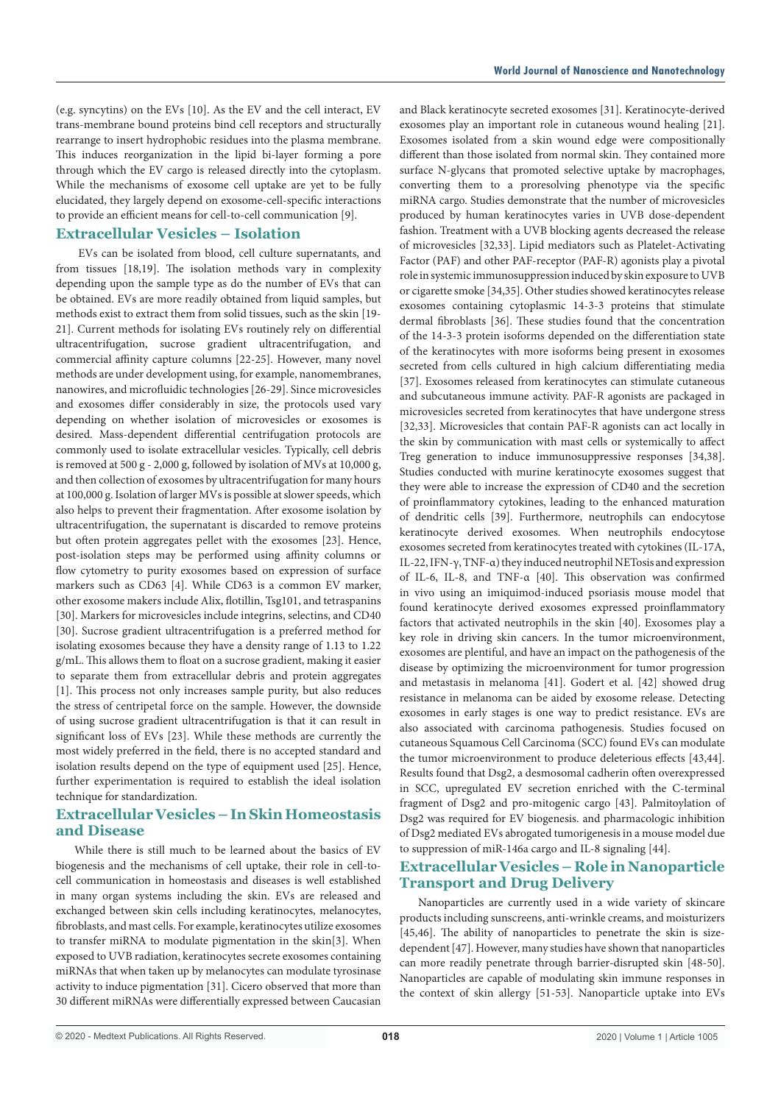(e.g. syncytins) on the EVs [10]. As the EV and the cell interact, EV trans-membrane bound proteins bind cell receptors and structurally rearrange to insert hydrophobic residues into the plasma membrane. This induces reorganization in the lipid bi-layer forming a pore through which the EV cargo is released directly into the cytoplasm. While the mechanisms of exosome cell uptake are yet to be fully elucidated, they largely depend on exosome-cell-specific interactions to provide an efficient means for cell-to-cell communication [9].

#### **Extracellular Vesicles – Isolation**

 EVs can be isolated from blood, cell culture supernatants, and from tissues [18,19]. The isolation methods vary in complexity depending upon the sample type as do the number of EVs that can be obtained. EVs are more readily obtained from liquid samples, but methods exist to extract them from solid tissues, such as the skin [19- 21]. Current methods for isolating EVs routinely rely on differential ultracentrifugation, sucrose gradient ultracentrifugation, and commercial affinity capture columns [22-25]. However, many novel methods are under development using, for example, nanomembranes, nanowires, and microfluidic technologies [26-29]. Since microvesicles and exosomes differ considerably in size, the protocols used vary depending on whether isolation of microvesicles or exosomes is desired. Mass-dependent differential centrifugation protocols are commonly used to isolate extracellular vesicles. Typically, cell debris is removed at 500 g - 2,000 g, followed by isolation of MVs at 10,000 g, and then collection of exosomes by ultracentrifugation for many hours at 100,000 g. Isolation of larger MVs is possible at slower speeds, which also helps to prevent their fragmentation. After exosome isolation by ultracentrifugation, the supernatant is discarded to remove proteins but often protein aggregates pellet with the exosomes [23]. Hence, post-isolation steps may be performed using affinity columns or flow cytometry to purity exosomes based on expression of surface markers such as CD63 [4]. While CD63 is a common EV marker, other exosome makers include Alix, flotillin, Tsg101, and tetraspanins [30]. Markers for microvesicles include integrins, selectins, and CD40 [30]. Sucrose gradient ultracentrifugation is a preferred method for isolating exosomes because they have a density range of 1.13 to 1.22 g/mL. This allows them to float on a sucrose gradient, making it easier to separate them from extracellular debris and protein aggregates [1]. This process not only increases sample purity, but also reduces the stress of centripetal force on the sample. However, the downside of using sucrose gradient ultracentrifugation is that it can result in significant loss of EVs [23]. While these methods are currently the most widely preferred in the field, there is no accepted standard and isolation results depend on the type of equipment used [25]. Hence, further experimentation is required to establish the ideal isolation technique for standardization.

# **Extracellular Vesicles – In Skin Homeostasis and Disease**

While there is still much to be learned about the basics of EV biogenesis and the mechanisms of cell uptake, their role in cell-tocell communication in homeostasis and diseases is well established in many organ systems including the skin. EVs are released and exchanged between skin cells including keratinocytes, melanocytes, fibroblasts, and mast cells. For example, keratinocytes utilize exosomes to transfer miRNA to modulate pigmentation in the skin[3]. When exposed to UVB radiation, keratinocytes secrete exosomes containing miRNAs that when taken up by melanocytes can modulate tyrosinase activity to induce pigmentation [31]. Cicero observed that more than 30 different miRNAs were differentially expressed between Caucasian

and Black keratinocyte secreted exosomes [31]. Keratinocyte-derived exosomes play an important role in cutaneous wound healing [21]. Exosomes isolated from a skin wound edge were compositionally different than those isolated from normal skin. They contained more surface N-glycans that promoted selective uptake by macrophages, converting them to a proresolving phenotype via the specific miRNA cargo. Studies demonstrate that the number of microvesicles produced by human keratinocytes varies in UVB dose-dependent fashion. Treatment with a UVB blocking agents decreased the release of microvesicles [32,33]. Lipid mediators such as Platelet-Activating Factor (PAF) and other PAF-receptor (PAF-R) agonists play a pivotal role in systemic immunosuppression induced by skin exposure to UVB or cigarette smoke [34,35]. Other studies showed keratinocytes release exosomes containing cytoplasmic 14-3-3 proteins that stimulate dermal fibroblasts [36]. These studies found that the concentration of the 14-3-3 protein isoforms depended on the differentiation state of the keratinocytes with more isoforms being present in exosomes secreted from cells cultured in high calcium differentiating media [37]. Exosomes released from keratinocytes can stimulate cutaneous and subcutaneous immune activity. PAF-R agonists are packaged in microvesicles secreted from keratinocytes that have undergone stress [32,33]. Microvesicles that contain PAF-R agonists can act locally in the skin by communication with mast cells or systemically to affect Treg generation to induce immunosuppressive responses [34,38]. Studies conducted with murine keratinocyte exosomes suggest that they were able to increase the expression of CD40 and the secretion of proinflammatory cytokines, leading to the enhanced maturation of dendritic cells [39]. Furthermore, neutrophils can endocytose keratinocyte derived exosomes. When neutrophils endocytose exosomes secreted from keratinocytes treated with cytokines (IL‐17A, IL‐22, IFN‐γ, TNF‐α) they induced neutrophil NETosis and expression of IL‐6, IL‐8, and TNF‐α [40]. This observation was confirmed in vivo using an imiquimod-induced psoriasis mouse model that found keratinocyte derived exosomes expressed proinflammatory factors that activated neutrophils in the skin [40]. Exosomes play a key role in driving skin cancers. In the tumor microenvironment, exosomes are plentiful, and have an impact on the pathogenesis of the disease by optimizing the microenvironment for tumor progression and metastasis in melanoma [41]. Godert et al. [42] showed drug resistance in melanoma can be aided by exosome release. Detecting exosomes in early stages is one way to predict resistance. EVs are also associated with carcinoma pathogenesis. Studies focused on cutaneous Squamous Cell Carcinoma (SCC) found EVs can modulate the tumor microenvironment to produce deleterious effects [43,44]. Results found that Dsg2, a desmosomal cadherin often overexpressed in SCC, upregulated EV secretion enriched with the C-terminal fragment of Dsg2 and pro-mitogenic cargo [43]. Palmitoylation of Dsg2 was required for EV biogenesis. and pharmacologic inhibition of Dsg2 mediated EVs abrogated tumorigenesis in a mouse model due to suppression of miR-146a cargo and IL-8 signaling [44].

# **Extracellular Vesicles – Role in Nanoparticle Transport and Drug Delivery**

Nanoparticles are currently used in a wide variety of skincare products including sunscreens, anti-wrinkle creams, and moisturizers [45,46]. The ability of nanoparticles to penetrate the skin is sizedependent [47]. However, many studies have shown that nanoparticles can more readily penetrate through barrier-disrupted skin [48-50]. Nanoparticles are capable of modulating skin immune responses in the context of skin allergy [51-53]. Nanoparticle uptake into EVs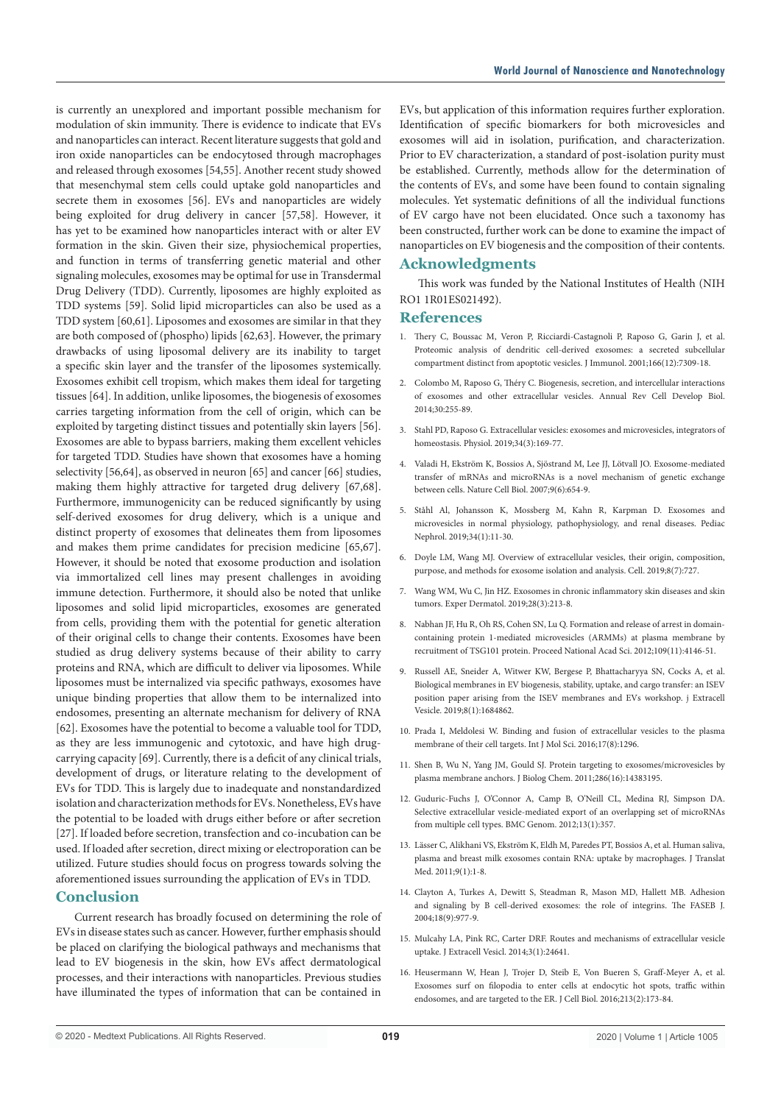is currently an unexplored and important possible mechanism for modulation of skin immunity. There is evidence to indicate that EVs and nanoparticles can interact. Recent literature suggests that gold and iron oxide nanoparticles can be endocytosed through macrophages and released through exosomes [54,55]. Another recent study showed that mesenchymal stem cells could uptake gold nanoparticles and secrete them in exosomes [56]. EVs and nanoparticles are widely being exploited for drug delivery in cancer [57,58]. However, it has yet to be examined how nanoparticles interact with or alter EV formation in the skin. Given their size, physiochemical properties, and function in terms of transferring genetic material and other signaling molecules, exosomes may be optimal for use in Transdermal Drug Delivery (TDD). Currently, liposomes are highly exploited as TDD systems [59]. Solid lipid microparticles can also be used as a TDD system [60,61]. Liposomes and exosomes are similar in that they are both composed of (phospho) lipids [62,63]. However, the primary drawbacks of using liposomal delivery are its inability to target a specific skin layer and the transfer of the liposomes systemically. Exosomes exhibit cell tropism, which makes them ideal for targeting tissues [64]. In addition, unlike liposomes, the biogenesis of exosomes carries targeting information from the cell of origin, which can be exploited by targeting distinct tissues and potentially skin layers [56]. Exosomes are able to bypass barriers, making them excellent vehicles for targeted TDD. Studies have shown that exosomes have a homing selectivity [56,64], as observed in neuron [65] and cancer [66] studies, making them highly attractive for targeted drug delivery [67,68]. Furthermore, immunogenicity can be reduced significantly by using self-derived exosomes for drug delivery, which is a unique and distinct property of exosomes that delineates them from liposomes and makes them prime candidates for precision medicine [65,67]. However, it should be noted that exosome production and isolation via immortalized cell lines may present challenges in avoiding immune detection. Furthermore, it should also be noted that unlike liposomes and solid lipid microparticles, exosomes are generated from cells, providing them with the potential for genetic alteration of their original cells to change their contents. Exosomes have been studied as drug delivery systems because of their ability to carry proteins and RNA, which are difficult to deliver via liposomes. While liposomes must be internalized via specific pathways, exosomes have unique binding properties that allow them to be internalized into endosomes, presenting an alternate mechanism for delivery of RNA [62]. Exosomes have the potential to become a valuable tool for TDD, as they are less immunogenic and cytotoxic, and have high drugcarrying capacity [69]. Currently, there is a deficit of any clinical trials, development of drugs, or literature relating to the development of EVs for TDD. This is largely due to inadequate and nonstandardized isolation and characterization methods for EVs. Nonetheless, EVs have the potential to be loaded with drugs either before or after secretion [27]. If loaded before secretion, transfection and co-incubation can be used. If loaded after secretion, direct mixing or electroporation can be utilized. Future studies should focus on progress towards solving the aforementioned issues surrounding the application of EVs in TDD.

## **Conclusion**

Current research has broadly focused on determining the role of EVs in disease states such as cancer. However, further emphasis should be placed on clarifying the biological pathways and mechanisms that lead to EV biogenesis in the skin, how EVs affect dermatological processes, and their interactions with nanoparticles. Previous studies have illuminated the types of information that can be contained in EVs, but application of this information requires further exploration. Identification of specific biomarkers for both microvesicles and exosomes will aid in isolation, purification, and characterization. Prior to EV characterization, a standard of post-isolation purity must be established. Currently, methods allow for the determination of the contents of EVs, and some have been found to contain signaling molecules. Yet systematic definitions of all the individual functions of EV cargo have not been elucidated. Once such a taxonomy has been constructed, further work can be done to examine the impact of nanoparticles on EV biogenesis and the composition of their contents.

### **Acknowledgments**

This work was funded by the National Institutes of Health (NIH RO1 1R01ES021492).

#### **References**

- 1. Thery C, Boussac M, Veron P, Ricciardi-Castagnoli P, Raposo G, Garin J, et al. Proteomic analysis of dendritic cell-derived exosomes: a secreted subcellular compartment distinct from apoptotic vesicles. J Immunol. 2001;166(12):7309-18.
- 2. Colombo M, Raposo G, Théry C. Biogenesis, secretion, and intercellular interactions of exosomes and other extracellular vesicles. Annual Rev Cell Develop Biol. 2014;30:255-89.
- 3. Stahl PD, Raposo G. Extracellular vesicles: exosomes and microvesicles, integrators of homeostasis. Physiol. 2019;34(3):169-77.
- 4. Valadi H, Ekström K, Bossios A, Sjöstrand M, Lee JJ, Lötvall JO. Exosome-mediated transfer of mRNAs and microRNAs is a novel mechanism of genetic exchange between cells. Nature Cell Biol. 2007;9(6):654-9.
- 5. Ståhl Al, Johansson K, Mossberg M, Kahn R, Karpman D. Exosomes and microvesicles in normal physiology, pathophysiology, and renal diseases. Pediac Nephrol. 2019;34(1):11-30.
- 6. Doyle LM, Wang MJ. Overview of extracellular vesicles, their origin, composition, purpose, and methods for exosome isolation and analysis. Cell. 2019;8(7):727.
- 7. Wang WM, Wu C, Jin HZ. Exosomes in chronic inflammatory skin diseases and skin tumors. Exper Dermatol. 2019;28(3):213-8.
- 8. Nabhan JF, Hu R, Oh RS, Cohen SN, Lu Q. Formation and release of arrest in domaincontaining protein 1-mediated microvesicles (ARMMs) at plasma membrane by recruitment of TSG101 protein. Proceed National Acad Sci. 2012;109(11):4146-51.
- 9. Russell AE, Sneider A, Witwer KW, Bergese P, Bhattacharyya SN, Cocks A, et al. Biological membranes in EV biogenesis, stability, uptake, and cargo transfer: an ISEV position paper arising from the ISEV membranes and EVs workshop. j Extracell Vesicle. 2019;8(1):1684862.
- 10. Prada I, Meldolesi W. Binding and fusion of extracellular vesicles to the plasma membrane of their cell targets. Int J Mol Sci. 2016;17(8):1296.
- 11. Shen B, Wu N, Yang JM, Gould SJ. Protein targeting to exosomes/microvesicles by plasma membrane anchors. J Biolog Chem. 2011;286(16):14383195.
- 12. Guduric-Fuchs J, O'Connor A, Camp B, O'Neill CL, Medina RJ, Simpson DA. Selective extracellular vesicle-mediated export of an overlapping set of microRNAs from multiple cell types. BMC Genom. 2012;13(1):357.
- 13. Lässer C, Alikhani VS, Ekström K, Eldh M, Paredes PT, Bossios A, et al. Human saliva, plasma and breast milk exosomes contain RNA: uptake by macrophages. J Translat Med. 2011;9(1):1-8.
- 14. Clayton A, Turkes A, Dewitt S, Steadman R, Mason MD, Hallett MB. Adhesion and signaling by B cell‐derived exosomes: the role of integrins. The FASEB J. 2004;18(9):977-9.
- 15. Mulcahy LA, Pink RC, Carter DRF. Routes and mechanisms of extracellular vesicle uptake. J Extracell Vesicl. 2014;3(1):24641.
- 16. Heusermann W, Hean J, Trojer D, Steib E, Von Bueren S, Graff-Meyer A, et al. Exosomes surf on filopodia to enter cells at endocytic hot spots, traffic within endosomes, and are targeted to the ER. J Cell Biol. 2016;213(2):173-84.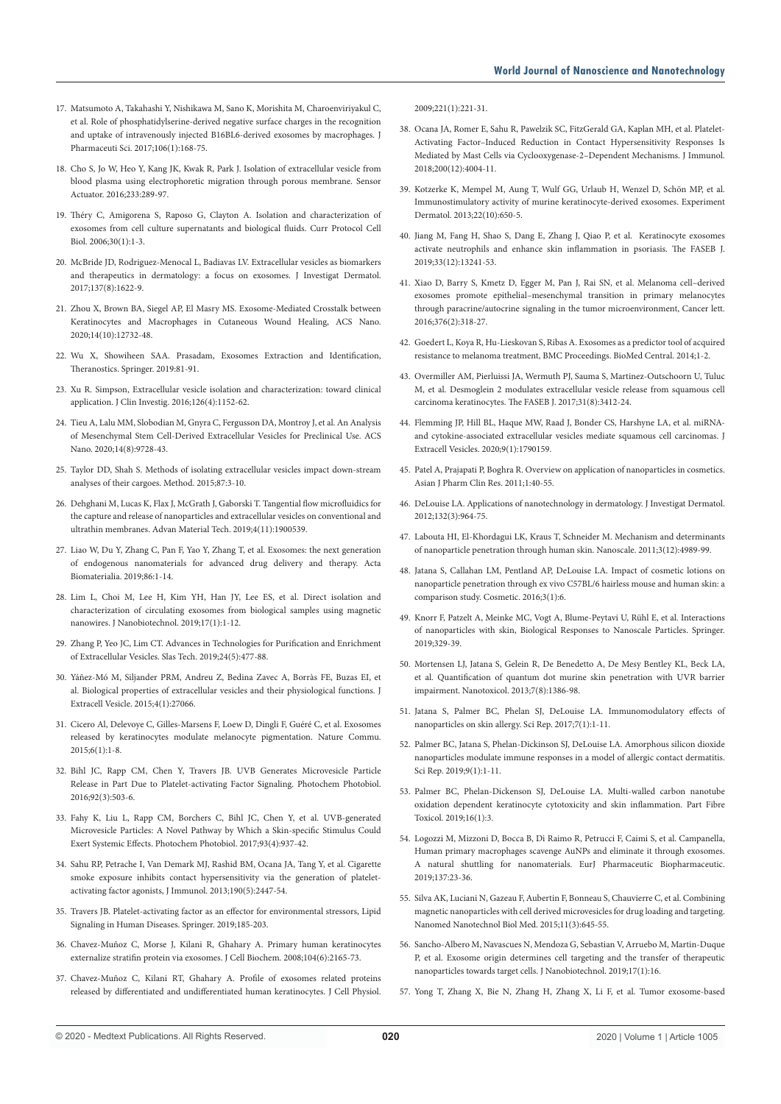- 17. Matsumoto A, Takahashi Y, Nishikawa M, Sano K, Morishita M, Charoenviriyakul C, et al. Role of phosphatidylserine-derived negative surface charges in the recognition and uptake of intravenously injected B16BL6-derived exosomes by macrophages. J Pharmaceuti Sci. 2017;106(1):168-75.
- 18. Cho S, Jo W, Heo Y, Kang JK, Kwak R, Park J. Isolation of extracellular vesicle from blood plasma using electrophoretic migration through porous membrane. Sensor Actuator. 2016;233:289-97.
- 19. Théry C, Amigorena S, Raposo G, Clayton A. Isolation and characterization of exosomes from cell culture supernatants and biological fluids. Curr Protocol Cell Biol. 2006;30(1):1-3.
- 20. McBride JD, Rodriguez-Menocal L, Badiavas LV. Extracellular vesicles as biomarkers and therapeutics in dermatology: a focus on exosomes. J Investigat Dermatol. 2017;137(8):1622-9.
- 21. Zhou X, Brown BA, Siegel AP, El Masry MS. Exosome-Mediated Crosstalk between Keratinocytes and Macrophages in Cutaneous Wound Healing, ACS Nano. 2020;14(10):12732-48.
- 22. Wu X, Showiheen SAA. Prasadam, Exosomes Extraction and Identification, Theranostics. Springer. 2019:81-91.
- 23. Xu R. Simpson, Extracellular vesicle isolation and characterization: toward clinical application. J Clin Investig. 2016;126(4):1152-62.
- 24. Tieu A, Lalu MM, Slobodian M, Gnyra C, Fergusson DA, Montroy J, et al. An Analysis of Mesenchymal Stem Cell-Derived Extracellular Vesicles for Preclinical Use. ACS Nano. 2020;14(8):9728-43.
- 25. Taylor DD, Shah S. Methods of isolating extracellular vesicles impact down-stream analyses of their cargoes. Method. 2015;87:3-10.
- 26. Dehghani M, Lucas K, Flax J, McGrath J, Gaborski T. Tangential flow microfluidics for the capture and release of nanoparticles and extracellular vesicles on conventional and ultrathin membranes. Advan Material Tech. 2019;4(11):1900539.
- 27. Liao W, Du Y, Zhang C, Pan F, Yao Y, Zhang T, et al. Exosomes: the next generation of endogenous nanomaterials for advanced drug delivery and therapy. Acta Biomaterialia. 2019;86:1-14.
- 28. Lim L, Choi M, Lee H, Kim YH, Han JY, Lee ES, et al. Direct isolation and characterization of circulating exosomes from biological samples using magnetic nanowires. J Nanobiotechnol. 2019;17(1):1-12.
- 29. Zhang P, Yeo JC, Lim CT. Advances in Technologies for Purification and Enrichment of Extracellular Vesicles. Slas Tech. 2019;24(5):477-88.
- 30. Yáñez-Mó M, Siljander PRM, Andreu Z, Bedina Zavec A, Borràs FE, Buzas EI, et al. Biological properties of extracellular vesicles and their physiological functions. J Extracell Vesicle. 2015;4(1):27066.
- 31. Cicero Al, Delevoye C, Gilles-Marsens F, Loew D, Dingli F, Guéré C, et al. Exosomes released by keratinocytes modulate melanocyte pigmentation. Nature Commu.  $2015;6(1):1-8.$
- 32. Bihl JC, Rapp CM, Chen Y, Travers JB. UVB Generates Microvesicle Particle Release in Part Due to Platelet‐activating Factor Signaling. Photochem Photobiol. 2016;92(3):503-6.
- 33. Fahy K, Liu L, Rapp CM, Borchers C, Bihl JC, Chen Y, et al. UVB‐generated Microvesicle Particles: A Novel Pathway by Which a Skin‐specific Stimulus Could Exert Systemic Effects. Photochem Photobiol. 2017;93(4):937-42.
- 34. Sahu RP, Petrache I, Van Demark MJ, Rashid BM, Ocana JA, Tang Y, et al. Cigarette smoke exposure inhibits contact hypersensitivity via the generation of plateletactivating factor agonists, J Immunol. 2013;190(5):2447-54.
- 35. Travers JB. Platelet-activating factor as an effector for environmental stressors, Lipid Signaling in Human Diseases. Springer. 2019;185-203.
- 36. Chavez‐Muñoz C, Morse J, Kilani R, Ghahary A. Primary human keratinocytes externalize stratifin protein via exosomes. J Cell Biochem. 2008;104(6):2165-73.
- 37. Chavez‐Muñoz C, Kilani RT, Ghahary A. Profile of exosomes related proteins released by differentiated and undifferentiated human keratinocytes. J Cell Physiol.

2009;221(1):221-31.

- 38. Ocana JA, Romer E, Sahu R, Pawelzik SC, FitzGerald GA, Kaplan MH, et al. Platelet-Activating Factor–Induced Reduction in Contact Hypersensitivity Responses Is Mediated by Mast Cells via Cyclooxygenase-2–Dependent Mechanisms. J Immunol. 2018;200(12):4004-11.
- 39. Kotzerke K, Mempel M, Aung T, Wulf GG, Urlaub H, Wenzel D, Schön MP, et al. Immunostimulatory activity of murine keratinocyte‐derived exosomes. Experiment Dermatol. 2013;22(10):650-5.
- 40. Jiang M, Fang H, Shao S, Dang E, Zhang J, Qiao P, et al. Keratinocyte exosomes activate neutrophils and enhance skin inflammation in psoriasis. The FASEB J. 2019;33(12):13241-53.
- 41. Xiao D, Barry S, Kmetz D, Egger M, Pan J, Rai SN, et al. Melanoma cell–derived exosomes promote epithelial–mesenchymal transition in primary melanocytes through paracrine/autocrine signaling in the tumor microenvironment, Cancer lett. 2016;376(2):318-27.
- 42. Goedert L, Koya R, Hu-Lieskovan S, Ribas A. Exosomes as a predictor tool of acquired resistance to melanoma treatment, BMC Proceedings. BioMed Central. 2014;1-2.
- 43. Overmiller AM, Pierluissi JA, Wermuth PJ, Sauma S, Martinez‐Outschoorn U, Tuluc M, et al. Desmoglein 2 modulates extracellular vesicle release from squamous cell carcinoma keratinocytes. The FASEB J. 2017;31(8):3412-24.
- 44. Flemming JP, Hill BL, Haque MW, Raad J, Bonder CS, Harshyne LA, et al. miRNAand cytokine-associated extracellular vesicles mediate squamous cell carcinomas. J Extracell Vesicles. 2020;9(1):1790159.
- 45. Patel A, Prajapati P, Boghra R. Overview on application of nanoparticles in cosmetics. Asian J Pharm Clin Res. 2011;1:40-55.
- 46. DeLouise LA. Applications of nanotechnology in dermatology. J Investigat Dermatol. 2012;132(3):964-75.
- 47. Labouta HI, El-Khordagui LK, Kraus T, Schneider M. Mechanism and determinants of nanoparticle penetration through human skin. Nanoscale. 2011;3(12):4989-99.
- 48. Jatana S, Callahan LM, Pentland AP, DeLouise LA. Impact of cosmetic lotions on nanoparticle penetration through ex vivo C57BL/6 hairless mouse and human skin: a comparison study. Cosmetic. 2016;3(1):6.
- 49. Knorr F, Patzelt A, Meinke MC, Vogt A, Blume-Peytavi U, Rühl E, et al. Interactions of nanoparticles with skin, Biological Responses to Nanoscale Particles. Springer. 2019;329-39.
- 50. Mortensen LJ, Jatana S, Gelein R, De Benedetto A, De Mesy Bentley KL, Beck LA, et al. Quantification of quantum dot murine skin penetration with UVR barrier impairment. Nanotoxicol. 2013;7(8):1386-98.
- 51. Jatana S, Palmer BC, Phelan SJ, DeLouise LA. Immunomodulatory effects of nanoparticles on skin allergy. Sci Rep. 2017;7(1):1-11.
- 52. Palmer BC, Jatana S, Phelan-Dickinson SJ, DeLouise LA. Amorphous silicon dioxide nanoparticles modulate immune responses in a model of allergic contact dermatitis. Sci Rep. 2019;9(1):1-11.
- 53. Palmer BC, Phelan-Dickenson SJ, DeLouise LA. Multi-walled carbon nanotube oxidation dependent keratinocyte cytotoxicity and skin inflammation. Part Fibre Toxicol. 2019;16(1):3.
- 54. Logozzi M, Mizzoni D, Bocca B, Di Raimo R, Petrucci F, Caimi S, et al. Campanella, Human primary macrophages scavenge AuNPs and eliminate it through exosomes. A natural shuttling for nanomaterials. EurJ Pharmaceutic Biopharmaceutic. 2019;137:23-36.
- 55. Silva AK, Luciani N, Gazeau F, Aubertin F, Bonneau S, Chauvierre C, et al. Combining magnetic nanoparticles with cell derived microvesicles for drug loading and targeting. Nanomed Nanotechnol Biol Med. 2015;11(3):645-55.
- 56. Sancho-Albero M, Navascues N, Mendoza G, Sebastian V, Arruebo M, Martin-Duque P, et al. Exosome origin determines cell targeting and the transfer of therapeutic nanoparticles towards target cells. J Nanobiotechnol. 2019;17(1):16.
- 57. Yong T, Zhang X, Bie N, Zhang H, Zhang X, Li F, et al. Tumor exosome-based